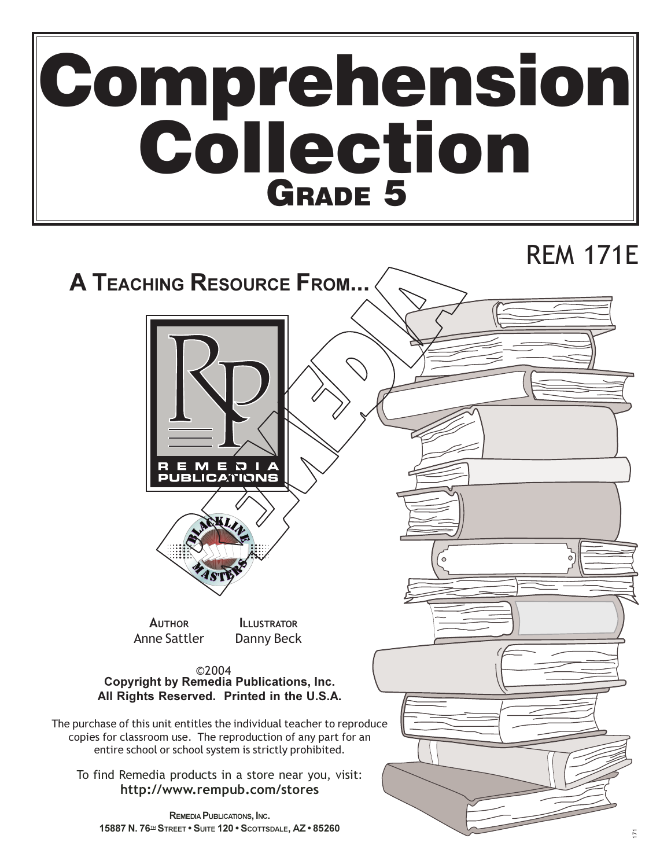# **Comprehension<br>Collection<br>GRADE 5**

# **REM 171E**

# **A TEACHING RESOURCE FROM...**





**AUTHOR Anne Sattler** 

**ILLUSTRATOR** Danny Beck

©2004 **Copyright by Remedia Publications, Inc.** All Rights Reserved. Printed in the U.S.A.

The purchase of this unit entitles the individual teacher to reproduce copies for classroom use. The reproduction of any part for an entire school or school system is strictly prohibited.

To find Remedia products in a store near you, visit: http://www.rempub.com/stores

REMEDIA PUBLICATIONS, INC. 15887 N. 76<sup>H</sup> STREET . SUITE 120 . SCOTTSDALE, AZ . 85260

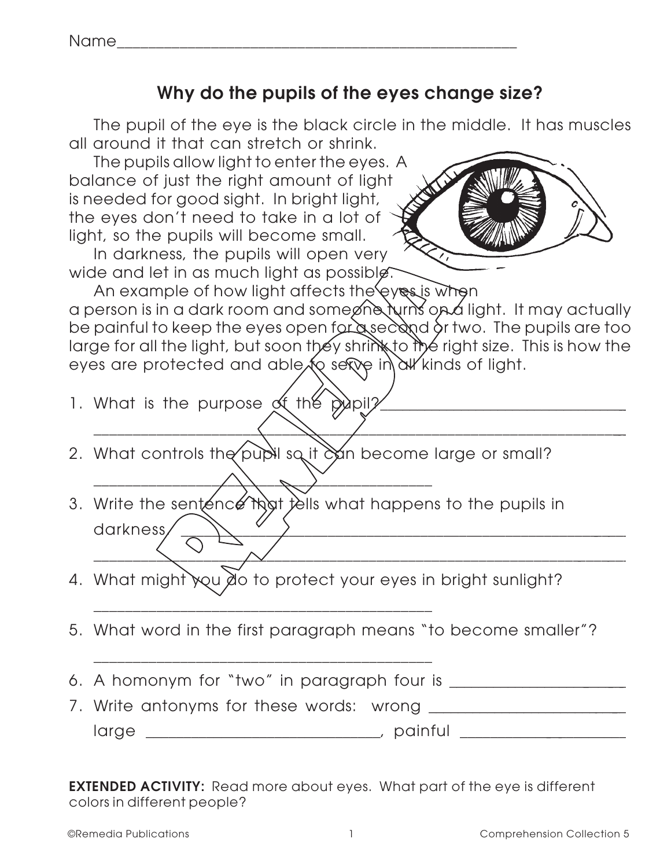### **Why do the pupils of the eyes change size?**

The pupil of the eye is the black circle in the middle. It has muscles all around it that can stretch or shrink.

The pupils allow light to enter the eyes. A balance of just the right amount of light is needed for good sight. In bright light, the eyes don't need to take in a lot of light, so the pupils will become small.

In darkness, the pupils will open very wide and let in as much light as possible.



An example of how light affects the eyes is when a person is in a dark room and someone turns on a light. It may actually be painful to keep the eyes open for a second or two. The pupils are too large for all the light, but soon they shrink to the right size. This is how the eyes are protected and able to serve in all kinds of light.

|  |  | 1. What is the purpose of the pupil? |  |  |
|--|--|--------------------------------------|--|--|
|  |  |                                      |  |  |

\_\_\_\_\_\_\_\_\_\_\_\_\_\_\_\_\_\_\_\_\_\_\_\_\_\_\_\_\_\_\_\_\_\_\_\_\_\_\_\_\_\_\_\_\_\_\_\_\_\_\_\_\_\_\_\_\_\_\_\_\_\_\_\_\_\_\_\_\_\_

\_\_\_\_\_\_\_\_\_\_\_\_\_\_\_\_\_\_\_\_\_\_\_\_\_\_\_\_\_\_\_\_\_\_\_\_\_\_\_\_\_\_\_\_\_\_\_\_\_\_\_\_\_\_\_\_\_\_\_\_\_\_\_\_\_\_\_\_\_

- 2. What controls the pupil so it can become large or small?
- 3. Write the sentence that tells what happens to the pupils in darkness.
- 4. What might you do to protect your eyes in bright sunlight?
- 5. What word in the first paragraph means "to become smaller"?
- 6. A homonym for "two" in paragraph four is \_\_\_\_\_\_\_\_\_\_\_\_\_\_\_\_\_\_\_\_\_\_\_\_\_\_.

\_\_\_\_\_\_\_\_\_\_\_\_\_\_\_\_\_\_\_\_\_\_\_\_\_\_\_\_\_\_\_\_\_\_\_\_\_\_\_\_\_\_\_

\_\_\_\_\_\_\_\_\_\_\_\_\_\_\_\_\_\_\_\_\_\_\_\_\_\_\_\_\_\_\_\_\_\_\_\_\_\_\_\_\_\_\_

\_\_\_\_\_\_\_\_\_\_\_\_\_\_\_\_\_\_\_\_\_\_\_\_\_\_\_\_\_\_\_\_\_\_\_\_\_\_\_\_\_\_\_

7. Write antonyms for these words: wrong large \_\_\_\_\_\_\_\_\_\_\_\_\_\_\_\_\_\_\_\_\_\_\_\_\_\_\_\_\_\_\_, painful \_\_\_\_\_\_\_\_\_\_\_\_\_\_\_\_\_\_\_\_\_\_\_.

**EXTENDED ACTIVITY:** Read more about eyes. What part of the eye is different colors in different people?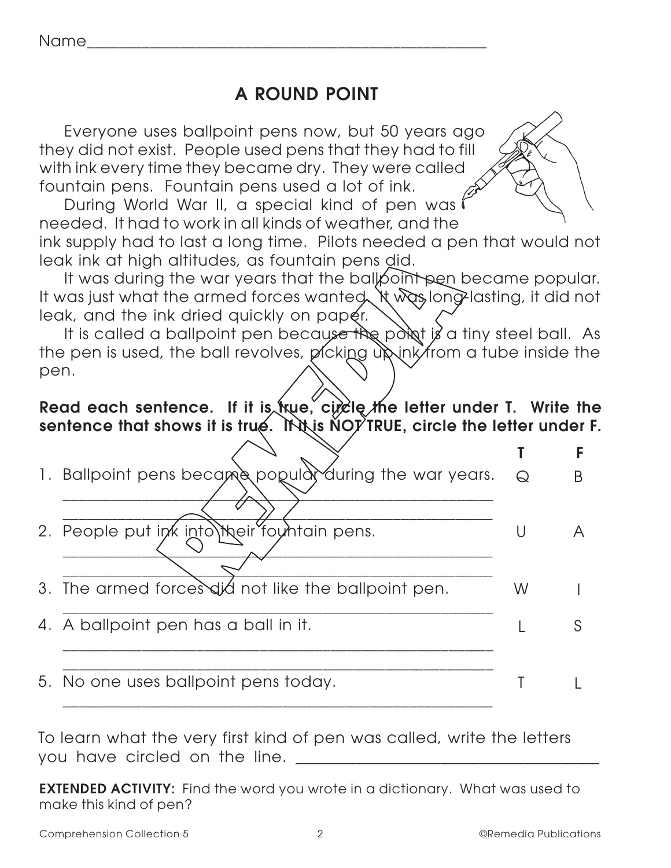Name\_\_\_\_\_\_\_\_\_\_\_\_\_\_\_\_\_\_\_\_\_\_\_\_\_\_\_\_\_\_\_\_\_\_\_\_\_\_\_\_\_\_\_\_\_\_\_\_\_\_\_

## **A ROUND POINT**

Everyone uses ballpoint pens now, but 50 years ago they did not exist. People used pens that they had to fill with ink every time they became dry. They were called fountain pens. Fountain pens used a lot of ink.

During World War II, a special kind of pen was needed. It had to work in all kinds of weather, and the

ink supply had to last a long time. Pilots needed a pen that would not leak ink at high altitudes, as fountain pens did.

It was during the war years that the ballpoint pen became popular. It was just what the armed forces wanted. It was long-lasting, it did not leak, and the ink dried quickly on paper.

It is called a ballpoint pen because the point is a tiny steel ball. As the pen is used, the ball revolves, picking up ink from a tube inside the pen.

#### **Read each sentence. If it is true, circle the letter under T. Write the sentence that shows it is true. If it is NOT TRUE, circle the letter under F.**

| Ι. | Ballpoint pens became popular during the war years. | $\Theta$ |  |
|----|-----------------------------------------------------|----------|--|
| 2. | People put ink into their fountain pens.            | U        |  |
| 3. | The armed forces did not like the ballpoint pen.    | W        |  |
| 4. | A ballpoint pen has a ball in it.                   |          |  |
|    | 5. No one uses ballpoint pens today.                |          |  |

To learn what the very first kind of pen was called, write the letters you have circled on the line.

**EXTENDED ACTIVITY:** Find the word you wrote in a dictionary. What was used to make this kind of pen?

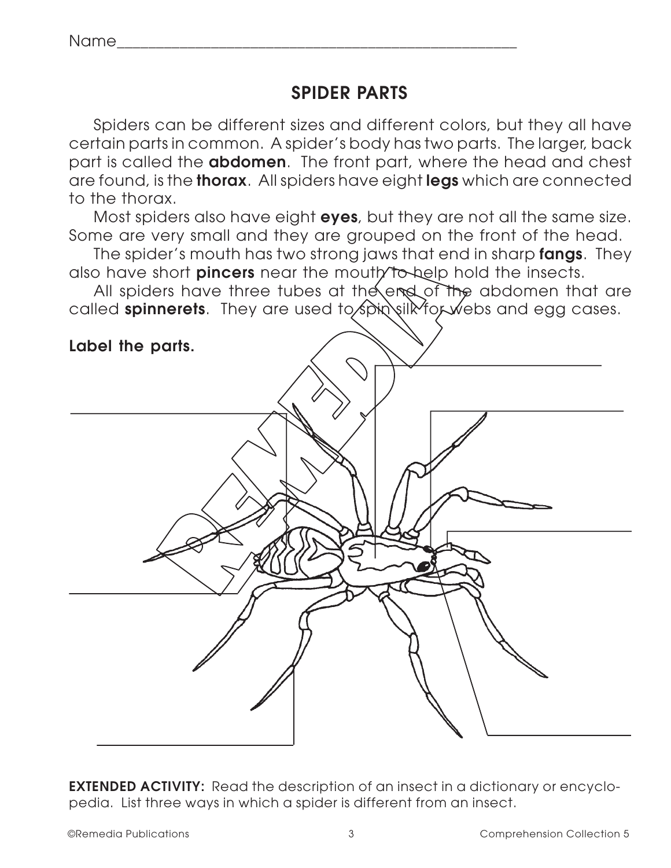## **SPIDER PARTS**

Spiders can be different sizes and different colors, but they all have certain parts in common. A spider's body has two parts. The larger, back part is called the **abdomen**. The front part, where the head and chest are found, is the **thorax**. All spiders have eight **legs** which are connected to the thorax.

Most spiders also have eight **eyes**, but they are not all the same size. Some are very small and they are grouped on the front of the head.

The spider's mouth has two strong jaws that end in sharp **fangs**. They also have short **pincers** near the mouth to help hold the insects.

All spiders have three tubes at the end of the abdomen that are called **spinnerets**. They are used to spin silk for webs and egg cases.

**Label the parts.**



**EXTENDED ACTIVITY:** Read the description of an insect in a dictionary or encyclopedia. List three ways in which a spider is different from an insect.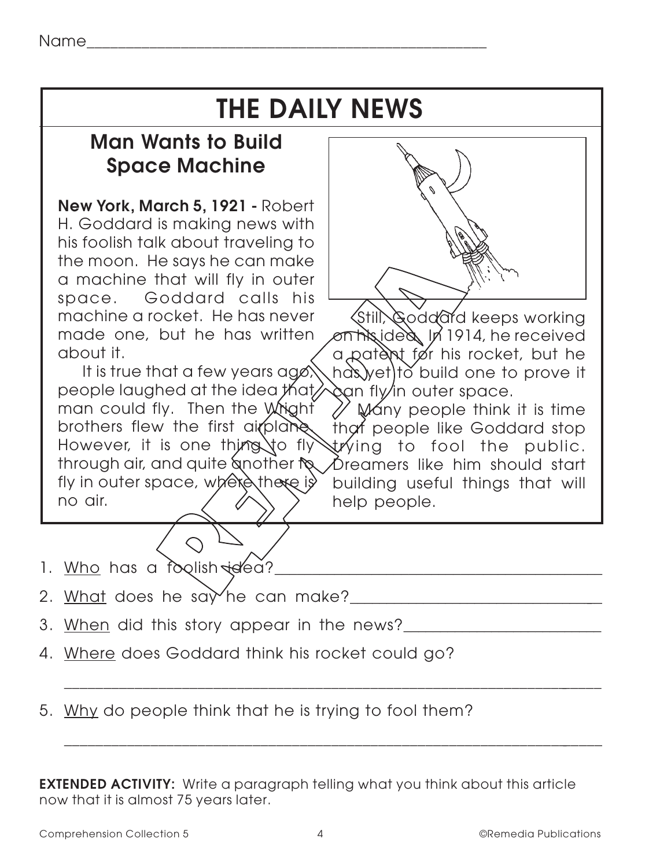# **THE DAILY NEWS**

## **Man Wants to Build Space Machine**

**New York, March 5, 1921 -** Robert H. Goddard is making news with his foolish talk about traveling to the moon. He says he can make a machine that will fly in outer space. Goddard calls his machine a rocket. He has never made one, but he has written about it.

It is true that a few years ago, people laughed at the idea that man could fly. Then the Wright brothers flew the first airplane. However, it is one thing to fly through air, and quite another to fly in outer space, where there is no air.



Still, Goddard keeps working on his idea. In 1914, he received a patent for his rocket, but he has yet to build one to prove it can fly in outer space.

Many people think it is time that people like Goddard stop trying to fool the public. Dreamers like him should start building useful things that will help people.

| 1. Who has a foolish idea?       |  |
|----------------------------------|--|
| 2. What does he say he can make? |  |

3. When did this story appear in the news?\_\_\_\_\_\_\_\_\_\_\_\_\_\_\_\_\_\_\_\_\_\_\_\_\_\_\_

\_\_\_\_\_\_\_\_\_\_\_\_\_\_\_\_\_\_\_\_\_\_\_\_\_\_\_\_\_\_\_\_\_\_\_\_\_\_\_\_\_\_\_\_\_\_\_\_\_\_\_\_\_\_\_\_\_\_\_\_\_\_\_\_\_\_\_\_\_

\_\_\_\_\_\_\_\_\_\_\_\_\_\_\_\_\_\_\_\_\_\_\_\_\_\_\_\_\_\_\_\_\_\_\_\_\_\_\_\_\_\_\_\_\_\_\_\_\_\_\_\_\_\_\_\_\_\_\_\_\_\_\_\_\_\_\_\_\_

- 4. Where does Goddard think his rocket could go?
- 5. Why do people think that he is trying to fool them?

**EXTENDED ACTIVITY:** Write a paragraph telling what you think about this article now that it is almost 75 years later.